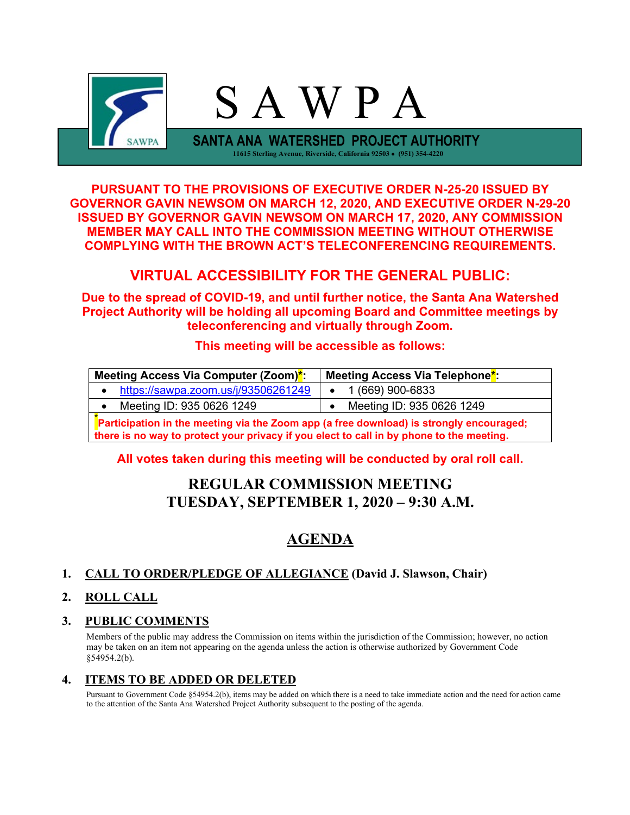

**PURSUANT TO THE PROVISIONS OF EXECUTIVE ORDER N-25-20 ISSUED BY GOVERNOR GAVIN NEWSOM ON MARCH 12, 2020, AND EXECUTIVE ORDER N-29-20 ISSUED BY GOVERNOR GAVIN NEWSOM ON MARCH 17, 2020, ANY COMMISSION MEMBER MAY CALL INTO THE COMMISSION MEETING WITHOUT OTHERWISE COMPLYING WITH THE BROWN ACT'S TELECONFERENCING REQUIREMENTS.**

## **VIRTUAL ACCESSIBILITY FOR THE GENERAL PUBLIC:**

**Due to the spread of COVID-19, and until further notice, the Santa Ana Watershed Project Authority will be holding all upcoming Board and Committee meetings by teleconferencing and virtually through Zoom.**

### **This meeting will be accessible as follows:**

| Meeting Access Via Computer (Zoom)*:                                                     | Meeting Access Via Telephone <sup>*</sup> : |  |  |  |
|------------------------------------------------------------------------------------------|---------------------------------------------|--|--|--|
| https://sawpa.zoom.us/j/93506261249                                                      | 1 (669) 900-6833                            |  |  |  |
| Meeting ID: 935 0626 1249                                                                | Meeting ID: 935 0626 1249                   |  |  |  |
| Participation in the meeting via the Zoom app (a free download) is strongly encouraged;  |                                             |  |  |  |
| there is no way to protect your privacy if you elect to call in by phone to the meeting. |                                             |  |  |  |

#### **All votes taken during this meeting will be conducted by oral roll call.**

# **REGULAR COMMISSION MEETING TUESDAY, SEPTEMBER 1, 2020 – 9:30 A.M.**

# **AGENDA**

## **1. CALL TO ORDER/PLEDGE OF ALLEGIANCE (David J. Slawson, Chair)**

#### **2. ROLL CALL**

#### **3. PUBLIC COMMENTS**

Members of the public may address the Commission on items within the jurisdiction of the Commission; however, no action may be taken on an item not appearing on the agenda unless the action is otherwise authorized by Government Code §54954.2(b).

#### **4. ITEMS TO BE ADDED OR DELETED**

Pursuant to Government Code §54954.2(b), items may be added on which there is a need to take immediate action and the need for action came to the attention of the Santa Ana Watershed Project Authority subsequent to the posting of the agenda.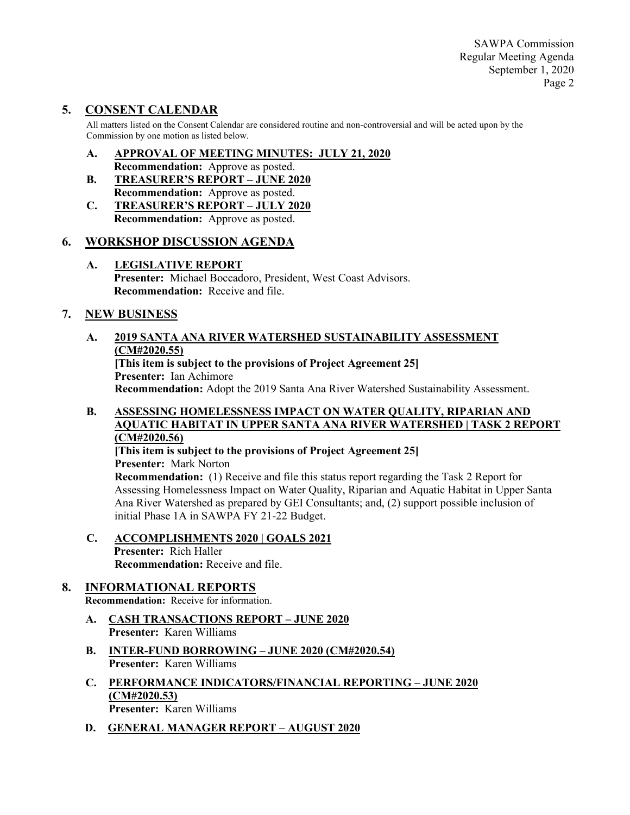SAWPA Commission Regular Meeting Agenda September 1, 2020 Page 2

## **5. CONSENT CALENDAR**

All matters listed on the Consent Calendar are considered routine and non-controversial and will be acted upon by the Commission by one motion as listed below.

- **A. APPROVAL OF MEETING MINUTES: JULY 21, 2020 Recommendation:** Approve as posted.
- **B. TREASURER'S REPORT – JUNE 2020 Recommendation:** Approve as posted.
- **C. TREASURER'S REPORT – JULY 2020 Recommendation:** Approve as posted.

#### **6. WORKSHOP DISCUSSION AGENDA**

**A. LEGISLATIVE REPORT Presenter:** Michael Boccadoro, President, West Coast Advisors. **Recommendation:** Receive and file.

#### **7. NEW BUSINESS**

#### **A. 2019 SANTA ANA RIVER WATERSHED SUSTAINABILITY ASSESSMENT (CM#2020.55)**

**[This item is subject to the provisions of Project Agreement 25] Presenter:** Ian Achimore **Recommendation:** Adopt the 2019 Santa Ana River Watershed Sustainability Assessment.

#### **B. ASSESSING HOMELESSNESS IMPACT ON WATER QUALITY, RIPARIAN AND AQUATIC HABITAT IN UPPER SANTA ANA RIVER WATERSHED | TASK 2 REPORT (CM#2020.56)**

**[This item is subject to the provisions of Project Agreement 25] Presenter:** Mark Norton **Recommendation:** (1) Receive and file this status report regarding the Task 2 Report for Assessing Homelessness Impact on Water Quality, Riparian and Aquatic Habitat in Upper Santa Ana River Watershed as prepared by GEI Consultants; and, (2) support possible inclusion of initial Phase 1A in SAWPA FY 21-22 Budget.

**C. ACCOMPLISHMENTS 2020 | GOALS 2021 Presenter:** Rich Haller **Recommendation:** Receive and file.

## **8. INFORMATIONAL REPORTS**

**Recommendation:** Receive for information.

- **A. CASH TRANSACTIONS REPORT – JUNE 2020 Presenter:** Karen Williams
- **B. INTER-FUND BORROWING – JUNE 2020 (CM#2020.54) Presenter:** Karen Williams
- **C. PERFORMANCE INDICATORS/FINANCIAL REPORTING – JUNE 2020 (CM#2020.53) Presenter:** Karen Williams
- **D. GENERAL MANAGER REPORT – AUGUST 2020**